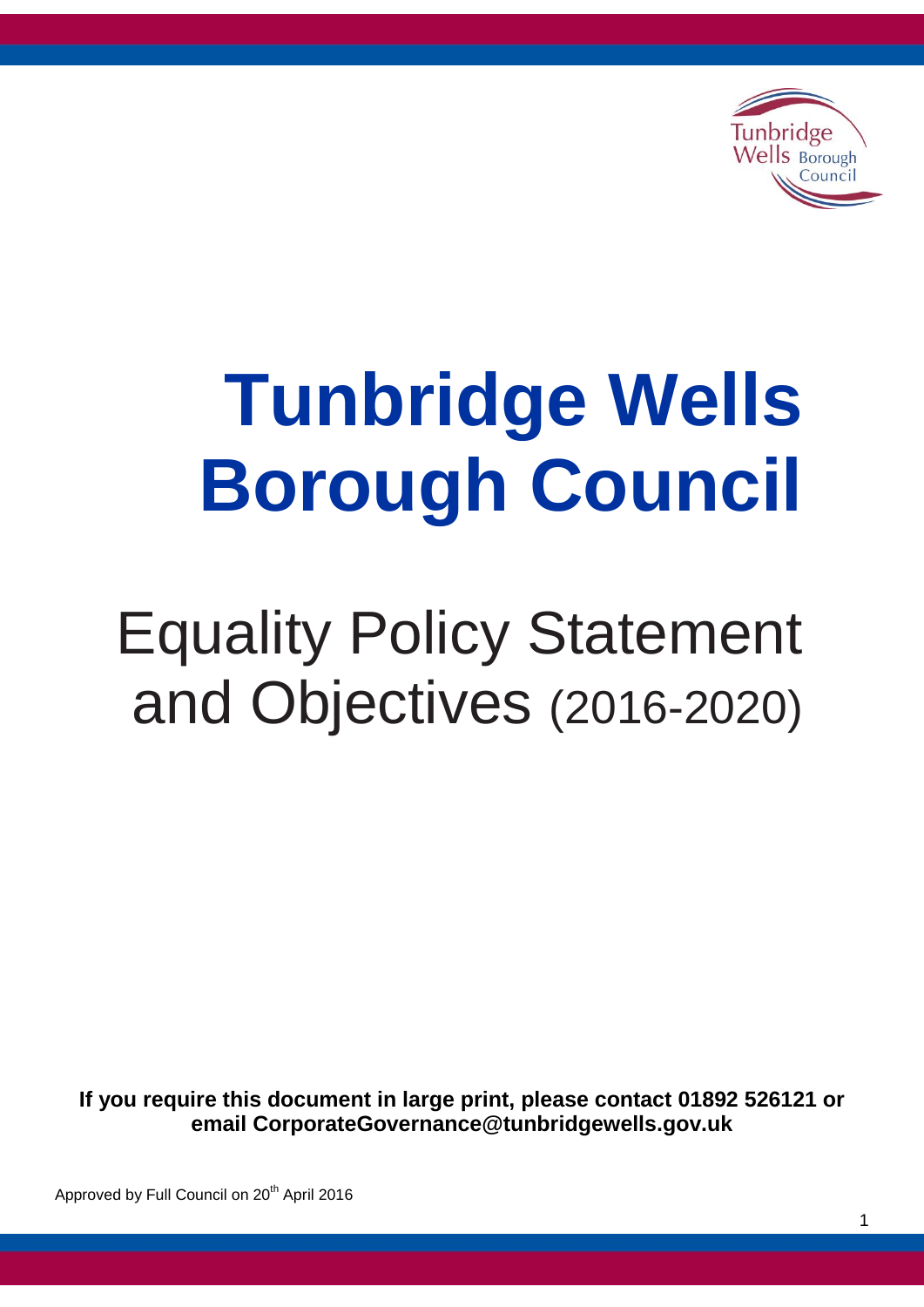

# **Tunbridge Wells Borough Council**

# Equality Policy Statement and Objectives (2016-2020)

**If you require this document in large print, please contact 01892 526121 or email CorporateGovernance@tunbridgewells.gov.uk**

Approved by Full Council on 20<sup>th</sup> April 2016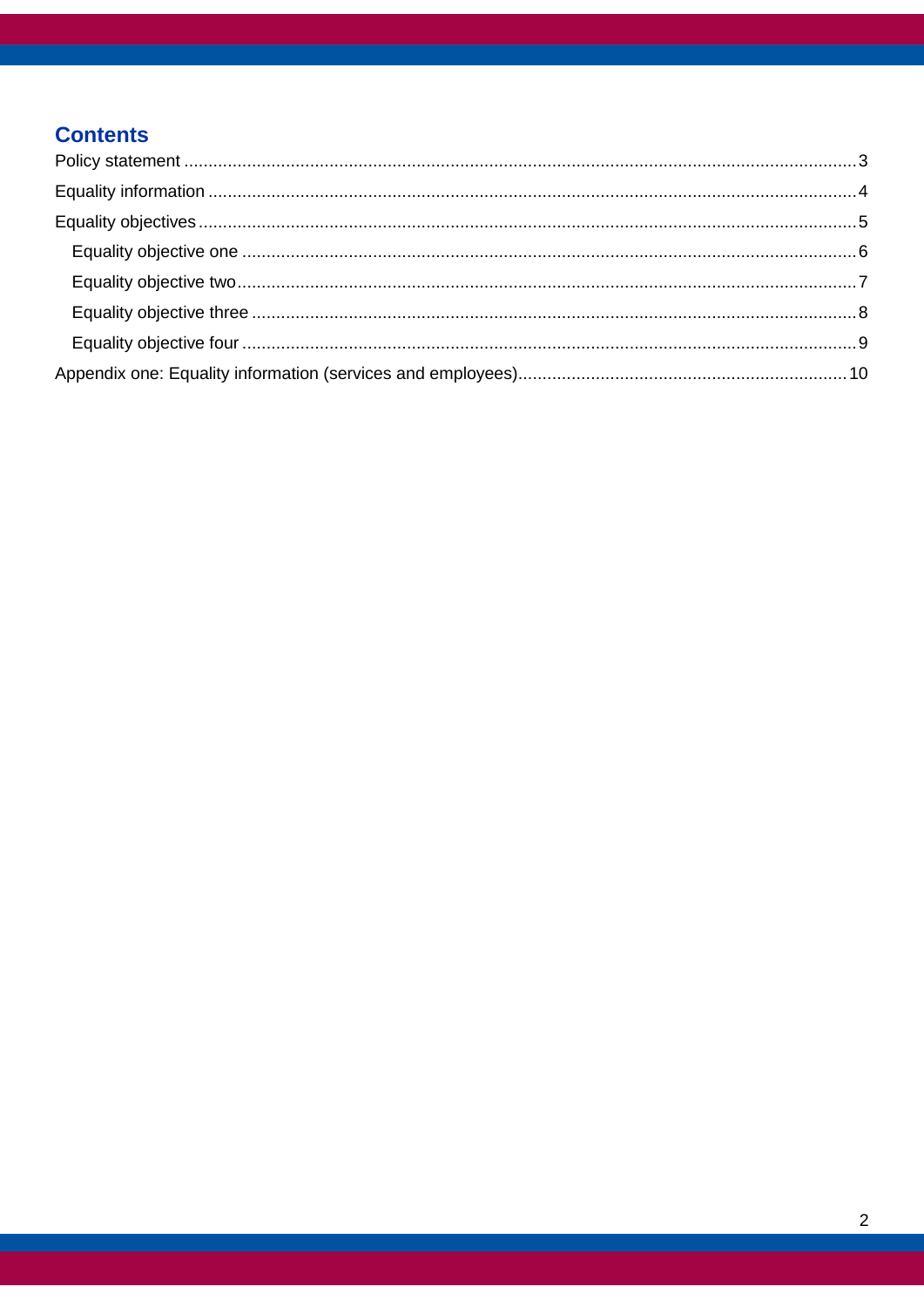# **Contents**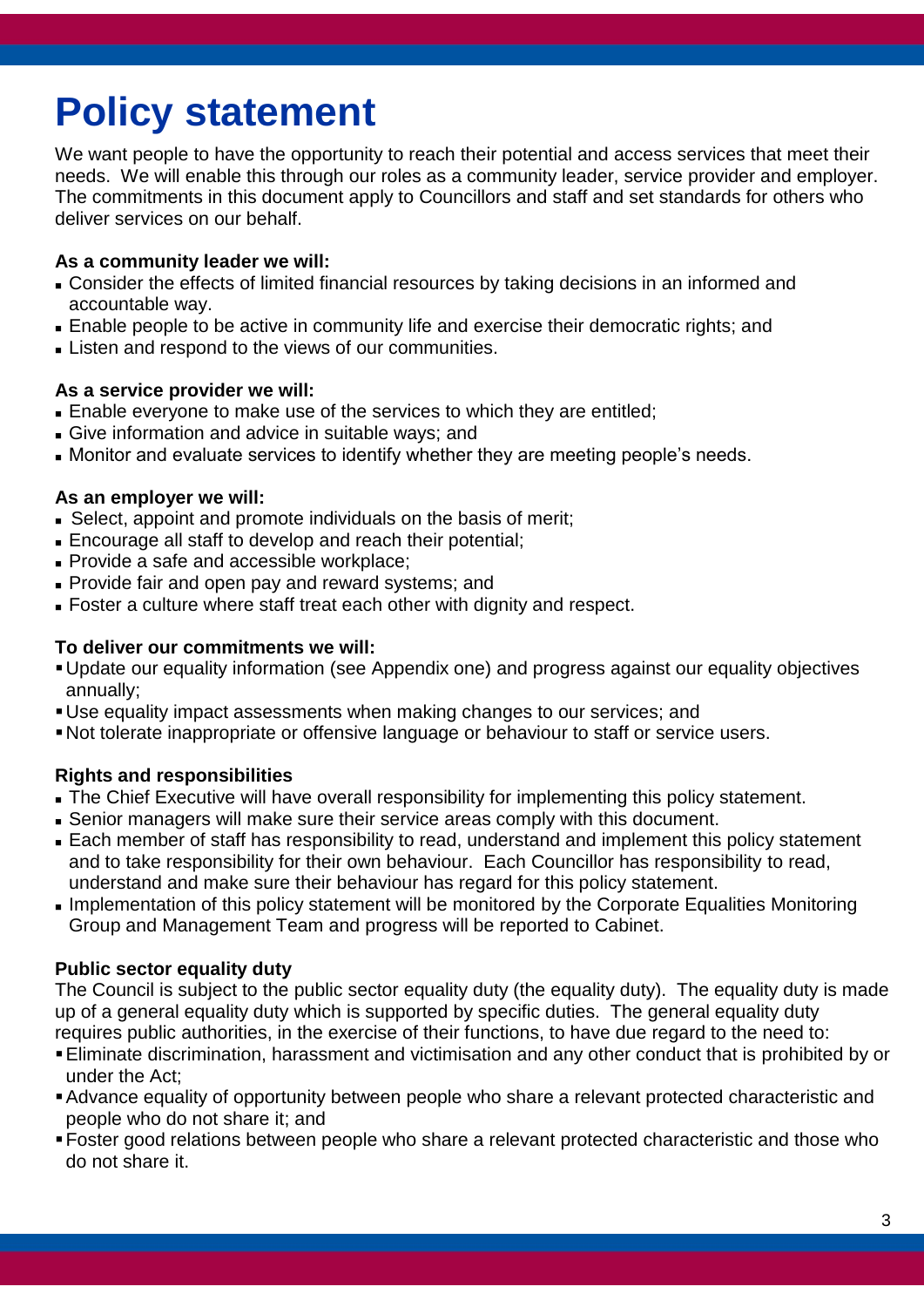# <span id="page-2-0"></span>**Policy statement**

We want people to have the opportunity to reach their potential and access services that meet their needs. We will enable this through our roles as a community leader, service provider and employer. The commitments in this document apply to Councillors and staff and set standards for others who deliver services on our behalf.

#### **As a community leader we will:**

- Consider the effects of limited financial resources by taking decisions in an informed and accountable way.
- Enable people to be active in community life and exercise their democratic rights; and
- **Listen and respond to the views of our communities.**

#### **As a service provider we will:**

- Enable everyone to make use of the services to which they are entitled;
- Give information and advice in suitable ways; and
- Monitor and evaluate services to identify whether they are meeting people's needs.

#### **As an employer we will:**

- Select, appoint and promote individuals on the basis of merit;
- Encourage all staff to develop and reach their potential;
- **Provide a safe and accessible workplace;**
- **Provide fair and open pay and reward systems; and**
- Foster a culture where staff treat each other with dignity and respect.

#### **To deliver our commitments we will:**

- Update our equality information (see Appendix one) and progress against our equality objectives annually;
- Use equality impact assessments when making changes to our services; and
- Not tolerate inappropriate or offensive language or behaviour to staff or service users.

### **Rights and responsibilities**

- The Chief Executive will have overall responsibility for implementing this policy statement.
- Senior managers will make sure their service areas comply with this document.
- Each member of staff has responsibility to read, understand and implement this policy statement and to take responsibility for their own behaviour. Each Councillor has responsibility to read, understand and make sure their behaviour has regard for this policy statement.
- **Implementation of this policy statement will be monitored by the Corporate Equalities Monitoring** Group and Management Team and progress will be reported to Cabinet.

#### **Public sector equality duty**

The Council is subject to the public sector equality duty (the equality duty). The equality duty is made up of a general equality duty which is supported by specific duties. The general equality duty requires public authorities, in the exercise of their functions, to have due regard to the need to:

- Eliminate discrimination, harassment and victimisation and any other conduct that is prohibited by or under the Act;
- Advance equality of opportunity between people who share a relevant protected characteristic and people who do not share it; and
- Foster good relations between people who share a relevant protected characteristic and those who do not share it.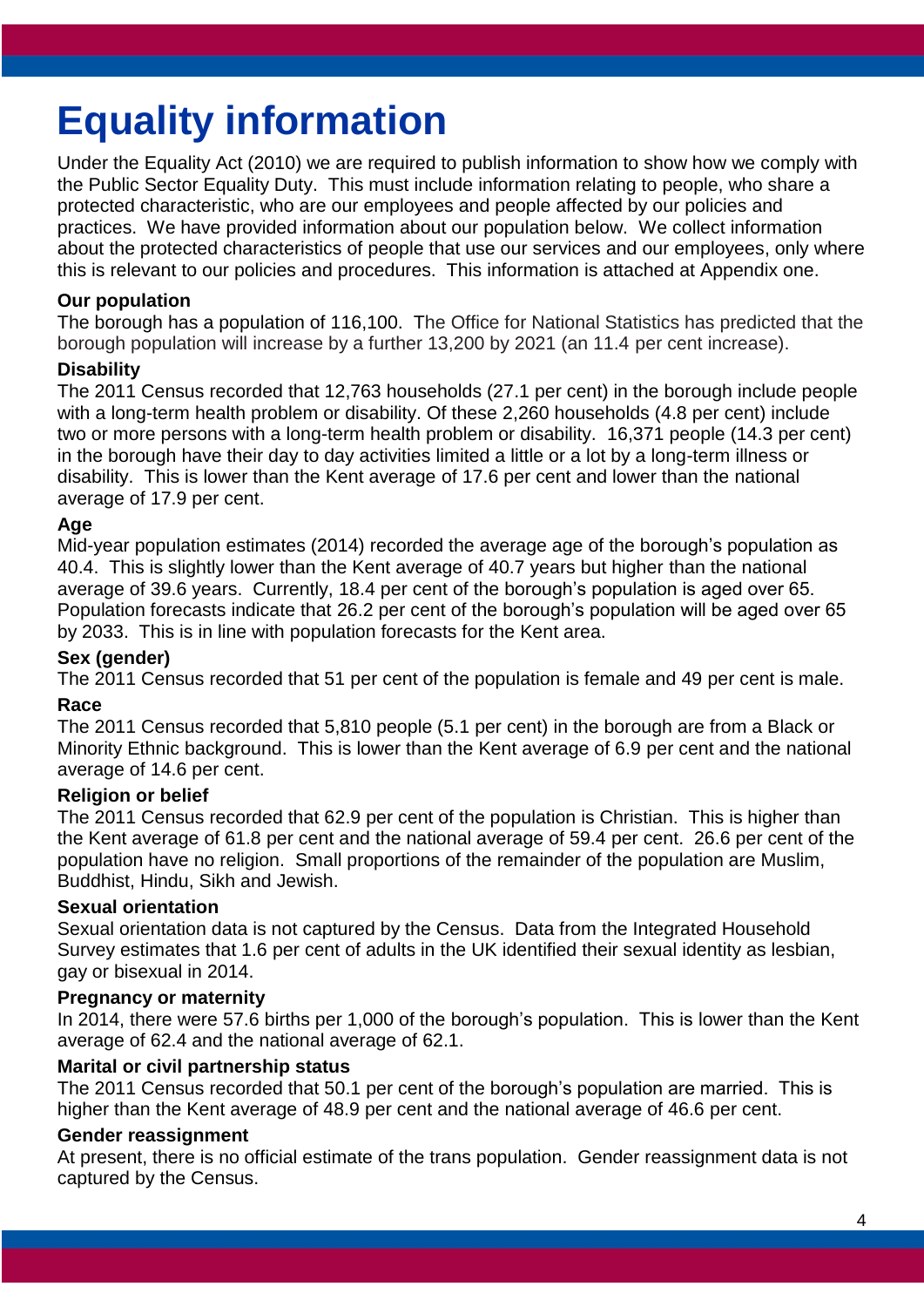# <span id="page-3-0"></span>**Equality information**

Under the Equality Act (2010) we are required to publish information to show how we comply with the Public Sector Equality Duty. This must include information relating to people, who share a protected characteristic, who are our employees and people affected by our policies and practices. We have provided information about our population below. We collect information about the protected characteristics of people that use our services and our employees, only where this is relevant to our policies and procedures. This information is attached at Appendix one.

#### **Our population**

The borough has a population of 116,100. The Office for National Statistics has predicted that the borough population will increase by a further 13,200 by 2021 (an 11.4 per cent increase).

#### **Disability**

The 2011 Census recorded that 12,763 households (27.1 per cent) in the borough include people with a long-term health problem or disability. Of these 2,260 households (4.8 per cent) include two or more persons with a long-term health problem or disability. 16,371 people (14.3 per cent) in the borough have their day to day activities limited a little or a lot by a long-term illness or disability. This is lower than the Kent average of 17.6 per cent and lower than the national average of 17.9 per cent.

#### **Age**

Mid-year population estimates (2014) recorded the average age of the borough's population as 40.4. This is slightly lower than the Kent average of 40.7 years but higher than the national average of 39.6 years. Currently, 18.4 per cent of the borough's population is aged over 65. Population forecasts indicate that 26.2 per cent of the borough's population will be aged over 65 by 2033. This is in line with population forecasts for the Kent area.

#### **Sex (gender)**

The 2011 Census recorded that 51 per cent of the population is female and 49 per cent is male.

#### **Race**

The 2011 Census recorded that 5,810 people (5.1 per cent) in the borough are from a Black or Minority Ethnic background. This is lower than the Kent average of 6.9 per cent and the national average of 14.6 per cent.

#### **Religion or belief**

The 2011 Census recorded that 62.9 per cent of the population is Christian. This is higher than the Kent average of 61.8 per cent and the national average of 59.4 per cent. 26.6 per cent of the population have no religion. Small proportions of the remainder of the population are Muslim, Buddhist, Hindu, Sikh and Jewish.

#### **Sexual orientation**

Sexual orientation data is not captured by the Census. Data from the Integrated Household Survey estimates that 1.6 per cent of adults in the UK identified their sexual identity as lesbian, gay or bisexual in 2014.

#### **Pregnancy or maternity**

In 2014, there were 57.6 births per 1,000 of the borough's population. This is lower than the Kent average of 62.4 and the national average of 62.1.

#### **Marital or civil partnership status**

The 2011 Census recorded that 50.1 per cent of the borough's population are married. This is higher than the Kent average of 48.9 per cent and the national average of 46.6 per cent.

#### **Gender reassignment**

At present, there is no official estimate of the trans population. Gender reassignment data is not captured by the Census.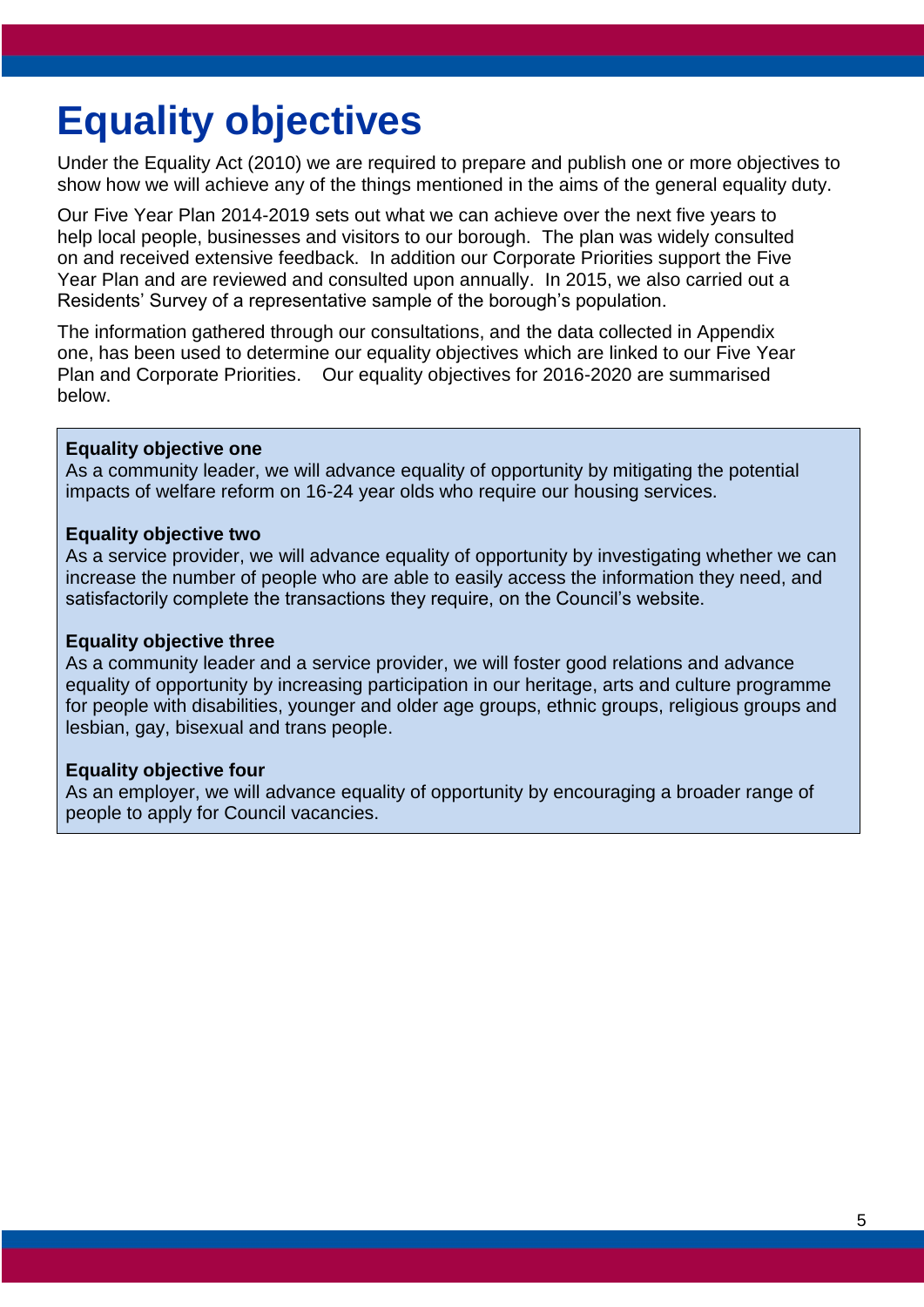# <span id="page-4-0"></span>**Equality objectives**

Under the Equality Act (2010) we are required to prepare and publish one or more objectives to show how we will achieve any of the things mentioned in the aims of the general equality duty.

Our Five Year Plan 2014-2019 sets out what we can achieve over the next five years to help local people, businesses and visitors to our borough. The plan was widely consulted on and received extensive feedback. In addition our Corporate Priorities support the Five Year Plan and are reviewed and consulted upon annually. In 2015, we also carried out a Residents' Survey of a representative sample of the borough's population.

The information gathered through our consultations, and the data collected in Appendix one, has been used to determine our equality objectives which are linked to our Five Year Plan and Corporate Priorities. Our equality objectives for 2016-2020 are summarised below.

#### **Equality objective one**

As a community leader, we will advance equality of opportunity by mitigating the potential impacts of welfare reform on 16-24 year olds who require our housing services.

#### **Equality objective two**

As a service provider, we will advance equality of opportunity by investigating whether we can increase the number of people who are able to easily access the information they need, and satisfactorily complete the transactions they require, on the Council's website.

#### **Equality objective three**

As a community leader and a service provider, we will foster good relations and advance equality of opportunity by increasing participation in our heritage, arts and culture programme for people with disabilities, younger and older age groups, ethnic groups, religious groups and lesbian, gay, bisexual and trans people.

#### **Equality objective four**

As an employer, we will advance equality of opportunity by encouraging a broader range of people to apply for Council vacancies.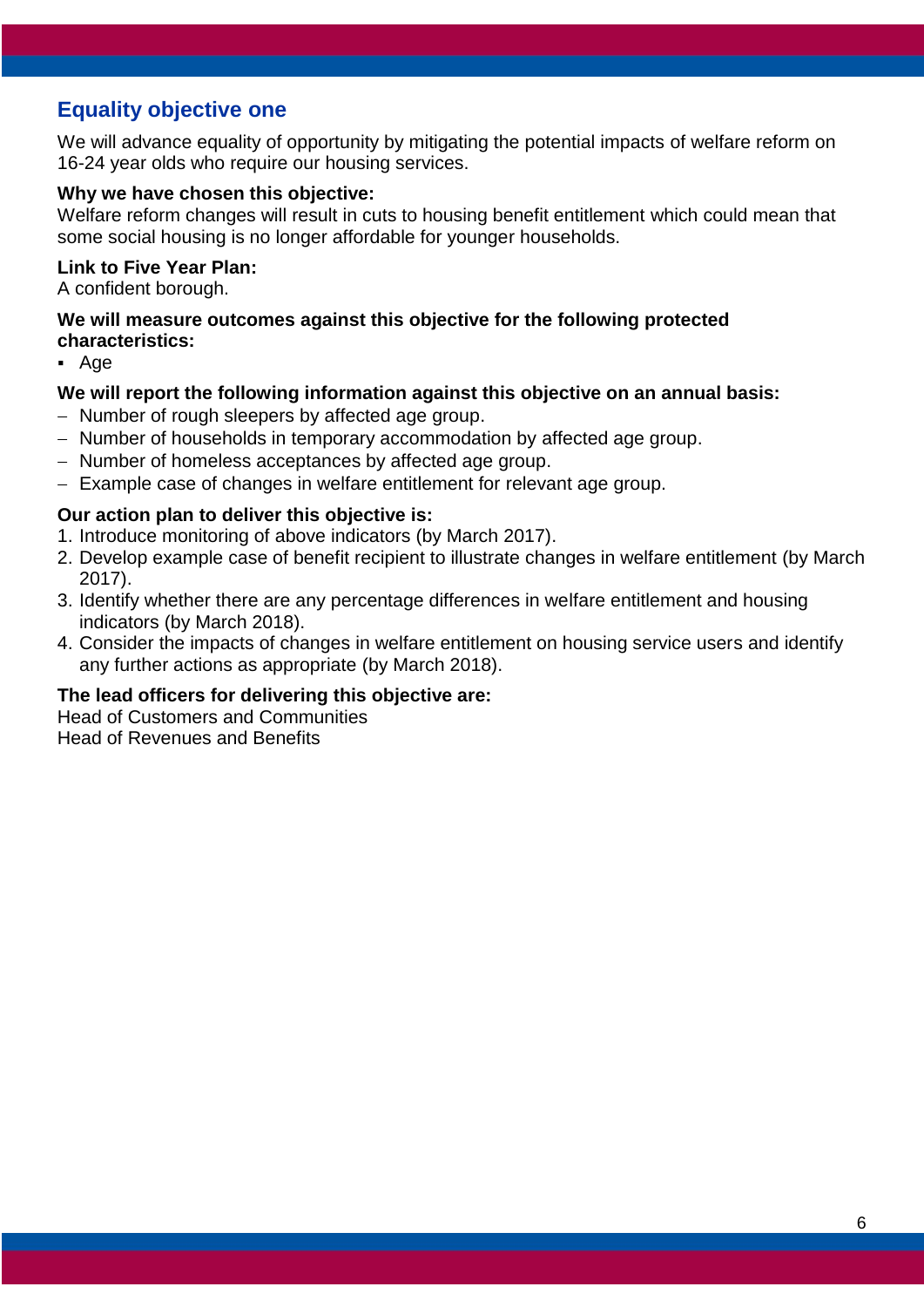# <span id="page-5-0"></span>**Equality objective one**

We will advance equality of opportunity by mitigating the potential impacts of welfare reform on 16-24 year olds who require our housing services.

#### **Why we have chosen this objective:**

Welfare reform changes will result in cuts to housing benefit entitlement which could mean that some social housing is no longer affordable for younger households.

#### **Link to Five Year Plan:**

A confident borough.

#### **We will measure outcomes against this objective for the following protected characteristics:**

Age

#### **We will report the following information against this objective on an annual basis:**

- Number of rough sleepers by affected age group.
- Number of households in temporary accommodation by affected age group.
- Number of homeless acceptances by affected age group.
- Example case of changes in welfare entitlement for relevant age group.

#### **Our action plan to deliver this objective is:**

- 1. Introduce monitoring of above indicators (by March 2017).
- 2. Develop example case of benefit recipient to illustrate changes in welfare entitlement (by March 2017).
- 3. Identify whether there are any percentage differences in welfare entitlement and housing indicators (by March 2018).
- 4. Consider the impacts of changes in welfare entitlement on housing service users and identify any further actions as appropriate (by March 2018).

#### **The lead officers for delivering this objective are:**

Head of Customers and Communities Head of Revenues and Benefits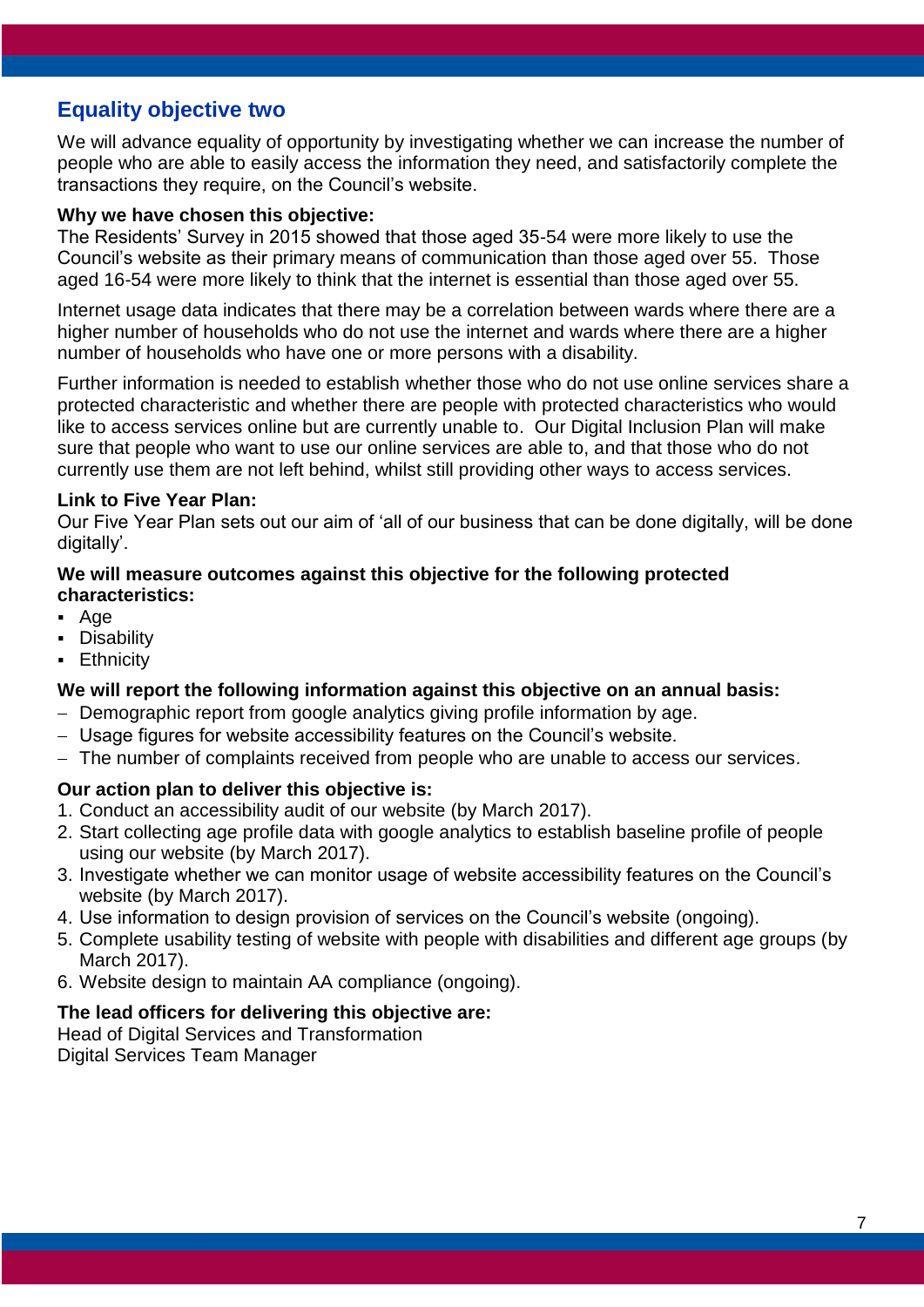# <span id="page-6-0"></span>**Equality objective two**

We will advance equality of opportunity by investigating whether we can increase the number of people who are able to easily access the information they need, and satisfactorily complete the transactions they require, on the Council's website.

#### **Why we have chosen this objective:**

The Residents' Survey in 2015 showed that those aged 35-54 were more likely to use the Council's website as their primary means of communication than those aged over 55. Those aged 16-54 were more likely to think that the internet is essential than those aged over 55.

Internet usage data indicates that there may be a correlation between wards where there are a higher number of households who do not use the internet and wards where there are a higher number of households who have one or more persons with a disability.

Further information is needed to establish whether those who do not use online services share a protected characteristic and whether there are people with protected characteristics who would like to access services online but are currently unable to. Our Digital Inclusion Plan will make sure that people who want to use our online services are able to, and that those who do not currently use them are not left behind, whilst still providing other ways to access services.

#### **Link to Five Year Plan:**

Our Five Year Plan sets out our aim of 'all of our business that can be done digitally, will be done digitally'.

#### **We will measure outcomes against this objective for the following protected characteristics:**

- Age
- **-** Disability
- **Ethnicity**

#### **We will report the following information against this objective on an annual basis:**

- Demographic report from google analytics giving profile information by age.
- Usage figures for website accessibility features on the Council's website.
- The number of complaints received from people who are unable to access our services.

#### **Our action plan to deliver this objective is:**

- 1. Conduct an accessibility audit of our website (by March 2017).
- 2. Start collecting age profile data with google analytics to establish baseline profile of people using our website (by March 2017).
- 3. Investigate whether we can monitor usage of website accessibility features on the Council's website (by March 2017).
- 4. Use information to design provision of services on the Council's website (ongoing).
- 5. Complete usability testing of website with people with disabilities and different age groups (by March 2017).
- 6. Website design to maintain AA compliance (ongoing).

#### **The lead officers for delivering this objective are:**

Head of Digital Services and Transformation Digital Services Team Manager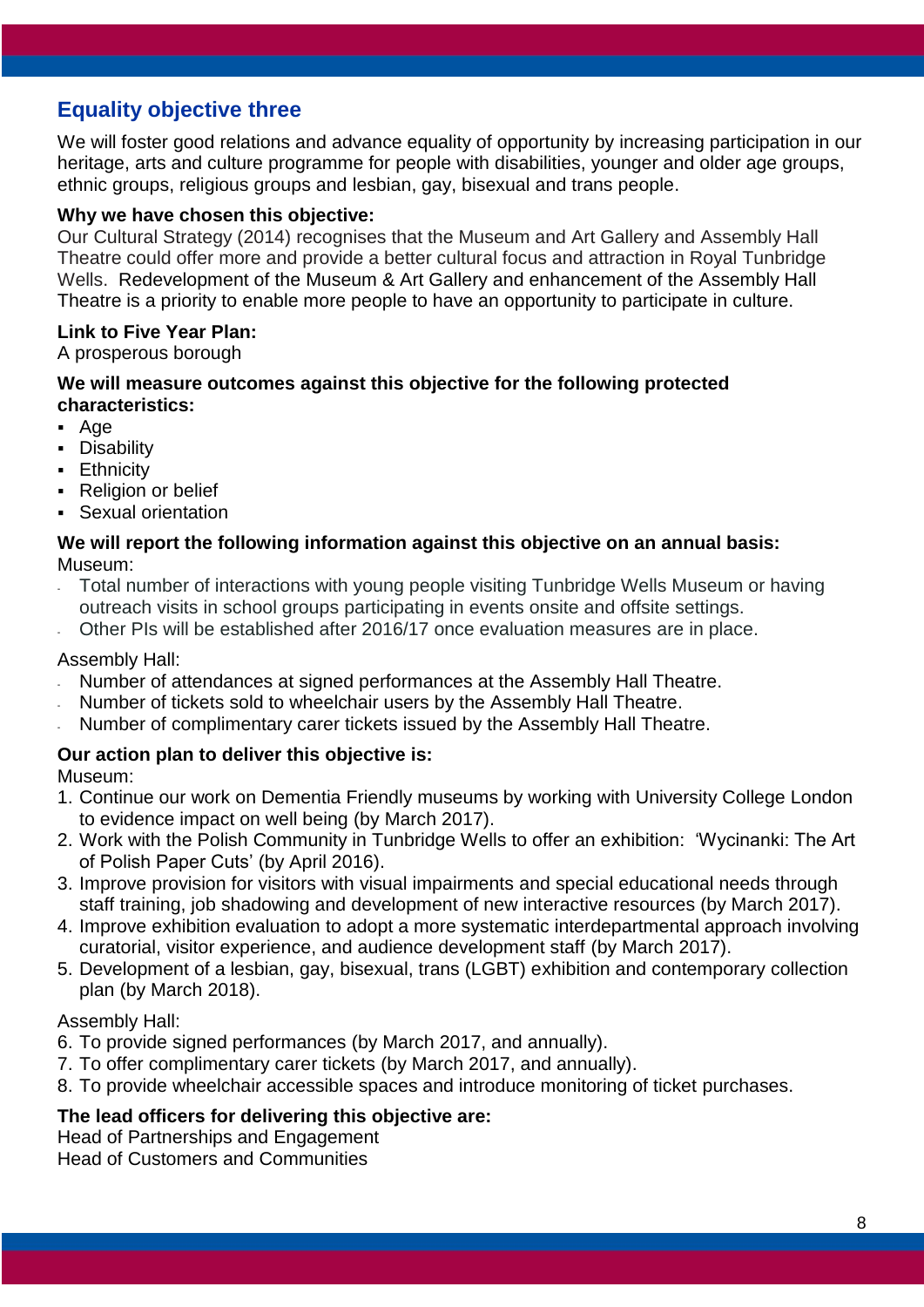# <span id="page-7-0"></span>**Equality objective three**

We will foster good relations and advance equality of opportunity by increasing participation in our heritage, arts and culture programme for people with disabilities, younger and older age groups, ethnic groups, religious groups and lesbian, gay, bisexual and trans people.

#### **Why we have chosen this objective:**

Our Cultural Strategy (2014) recognises that the Museum and Art Gallery and Assembly Hall Theatre could offer more and provide a better cultural focus and attraction in Royal Tunbridge Wells. Redevelopment of the Museum & Art Gallery and enhancement of the Assembly Hall Theatre is a priority to enable more people to have an opportunity to participate in culture.

#### **Link to Five Year Plan:**

A prosperous borough

#### **We will measure outcomes against this objective for the following protected characteristics:**

- Age
- **Disability**
- **Ethnicity**
- Religion or belief
- Sexual orientation

#### **We will report the following information against this objective on an annual basis:** Museum:

- Total number of interactions with young people visiting Tunbridge Wells Museum or having outreach visits in school groups participating in events onsite and offsite settings.
- Other PIs will be established after 2016/17 once evaluation measures are in place.

#### Assembly Hall:

- Number of attendances at signed performances at the Assembly Hall Theatre.
- Number of tickets sold to wheelchair users by the Assembly Hall Theatre.
- Number of complimentary carer tickets issued by the Assembly Hall Theatre.

#### **Our action plan to deliver this objective is:**

Museum:

- 1. Continue our work on Dementia Friendly museums by working with University College London to evidence impact on well being (by March 2017).
- 2. Work with the Polish Community in Tunbridge Wells to offer an exhibition: 'Wycinanki: The Art of Polish Paper Cuts' (by April 2016).
- 3. Improve provision for visitors with visual impairments and special educational needs through staff training, job shadowing and development of new interactive resources (by March 2017).
- 4. Improve exhibition evaluation to adopt a more systematic interdepartmental approach involving curatorial, visitor experience, and audience development staff (by March 2017).
- 5. Development of a lesbian, gay, bisexual, trans (LGBT) exhibition and contemporary collection plan (by March 2018).

#### Assembly Hall:

- 6. To provide signed performances (by March 2017, and annually).
- 7. To offer complimentary carer tickets (by March 2017, and annually).
- 8. To provide wheelchair accessible spaces and introduce monitoring of ticket purchases.

#### **The lead officers for delivering this objective are:**

Head of Partnerships and Engagement Head of Customers and Communities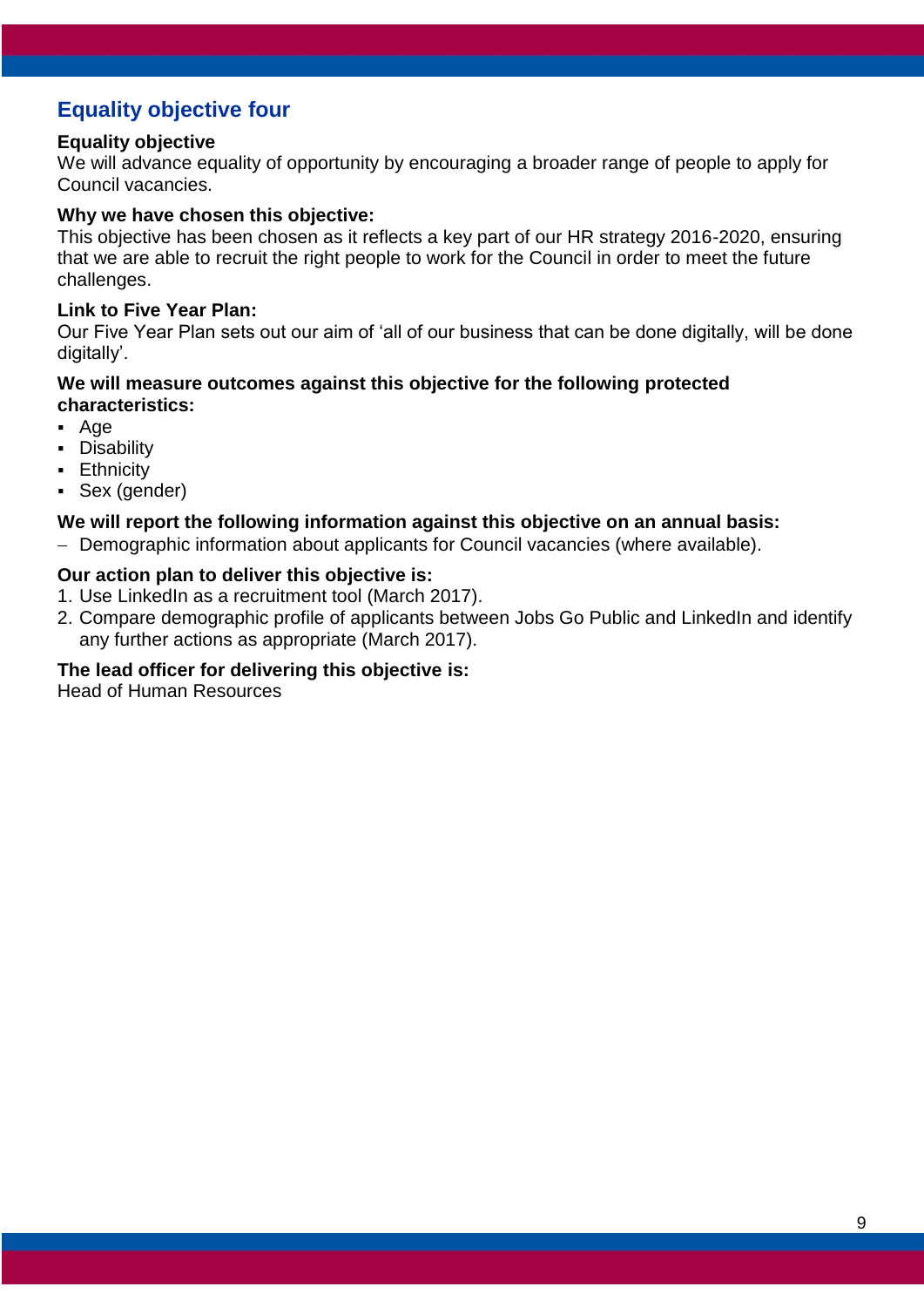# <span id="page-8-0"></span>**Equality objective four**

#### **Equality objective**

We will advance equality of opportunity by encouraging a broader range of people to apply for Council vacancies.

#### **Why we have chosen this objective:**

This objective has been chosen as it reflects a key part of our HR strategy 2016-2020, ensuring that we are able to recruit the right people to work for the Council in order to meet the future challenges.

#### **Link to Five Year Plan:**

Our Five Year Plan sets out our aim of 'all of our business that can be done digitally, will be done digitally'.

#### **We will measure outcomes against this objective for the following protected characteristics:**

- Age
- **-** Disability
- **Ethnicity**
- Sex (gender)

#### **We will report the following information against this objective on an annual basis:**

- Demographic information about applicants for Council vacancies (where available).

#### **Our action plan to deliver this objective is:**

- 1. Use LinkedIn as a recruitment tool (March 2017).
- 2. Compare demographic profile of applicants between Jobs Go Public and LinkedIn and identify any further actions as appropriate (March 2017).

#### **The lead officer for delivering this objective is:**

Head of Human Resources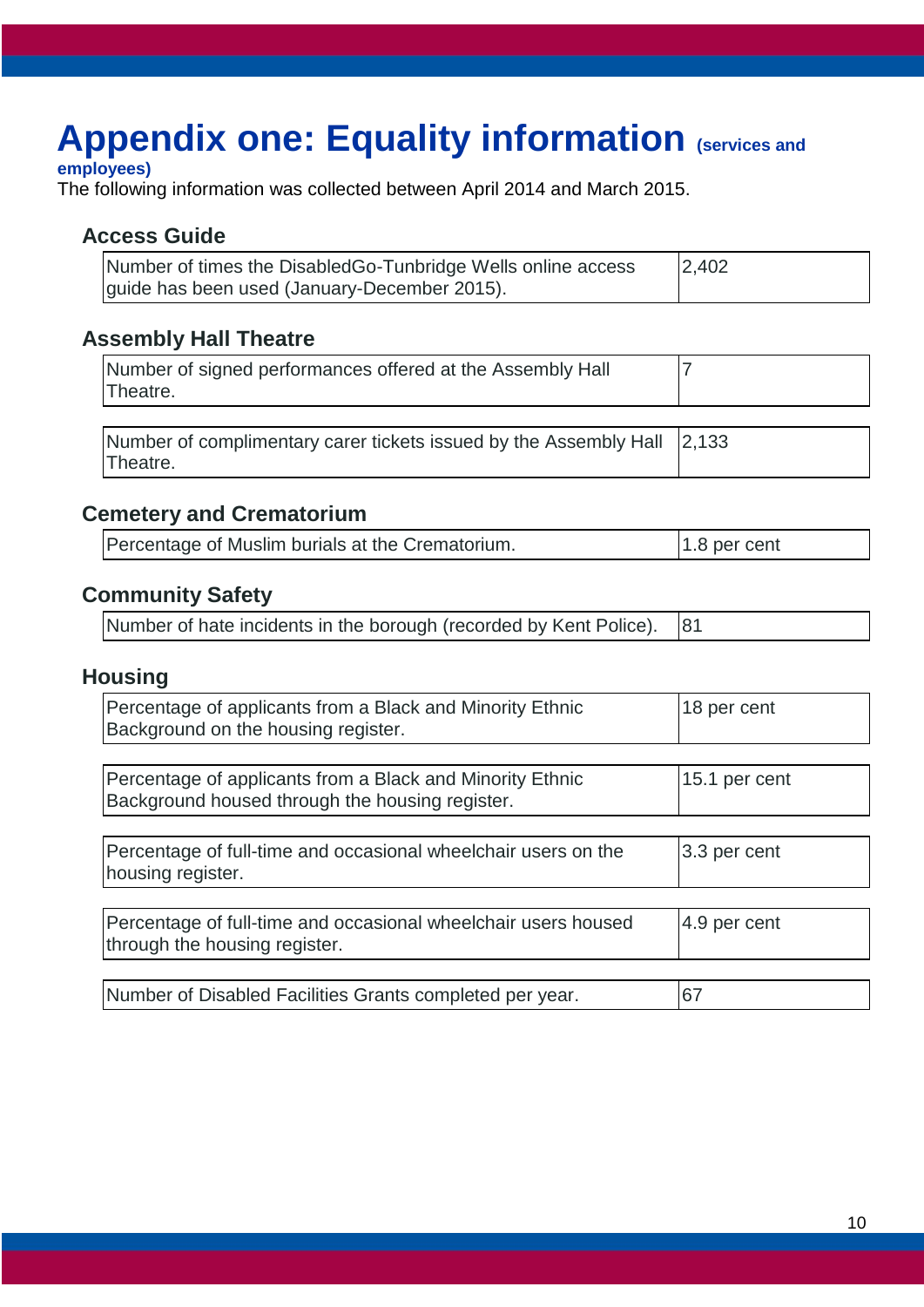# <span id="page-9-0"></span>**Appendix one: Equality information (services and**

#### **employees)**

The following information was collected between April 2014 and March 2015.

### **Access Guide**

| Number of times the DisabledGo-Tunbridge Wells online access | 2,402 |
|--------------------------------------------------------------|-------|
| guide has been used (January-December 2015).                 |       |

### **Assembly Hall Theatre**

| Number of signed performances offered at the Assembly Hall<br>Theatre. |  |
|------------------------------------------------------------------------|--|
|                                                                        |  |

| Number of complimentary carer tickets issued by the Assembly Hall 2,133 |  |
|-------------------------------------------------------------------------|--|
| Theatre.                                                                |  |

### **Cemetery and Crematorium**

| Percentage of Muslim burials at the Crematorium. | $1.8$ per cent |
|--------------------------------------------------|----------------|
|--------------------------------------------------|----------------|

## **Community Safety**

| Number of hate incidents in the borough (recorded by Kent Police). 81 |  |
|-----------------------------------------------------------------------|--|
|-----------------------------------------------------------------------|--|

## **Housing**

| Percentage of applicants from a Black and Minority Ethnic<br>Background on the housing register.             | 18 per cent   |
|--------------------------------------------------------------------------------------------------------------|---------------|
|                                                                                                              |               |
| Percentage of applicants from a Black and Minority Ethnic<br>Background housed through the housing register. | 15.1 per cent |
|                                                                                                              |               |
| Percentage of full-time and occasional wheelchair users on the<br>housing register.                          | 3.3 per cent  |
|                                                                                                              |               |
| Percentage of full-time and occasional wheelchair users housed<br>through the housing register.              | 4.9 per cent  |
|                                                                                                              |               |
| Number of Disabled Facilities Grants completed per year.                                                     | 67            |